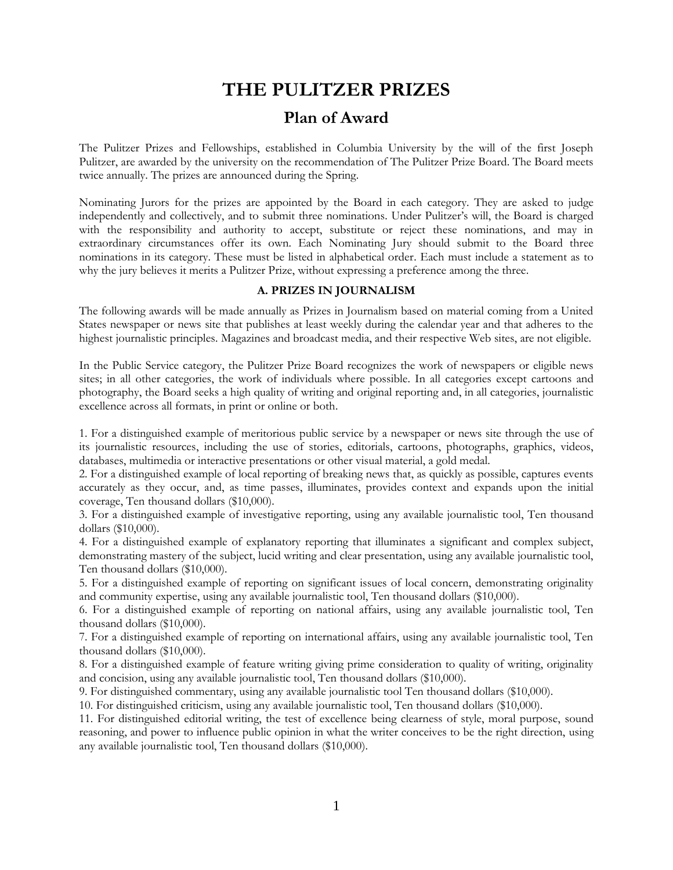# **THE PULITZER PRIZES**

## **Plan of Award**

The Pulitzer Prizes and Fellowships, established in Columbia University by the will of the first Joseph Pulitzer, are awarded by the university on the recommendation of The Pulitzer Prize Board. The Board meets twice annually. The prizes are announced during the Spring.

Nominating Jurors for the prizes are appointed by the Board in each category. They are asked to judge independently and collectively, and to submit three nominations. Under Pulitzer's will, the Board is charged with the responsibility and authority to accept, substitute or reject these nominations, and may in extraordinary circumstances offer its own. Each Nominating Jury should submit to the Board three nominations in its category. These must be listed in alphabetical order. Each must include a statement as to why the jury believes it merits a Pulitzer Prize, without expressing a preference among the three.

## **A. PRIZES IN JOURNALISM**

The following awards will be made annually as Prizes in Journalism based on material coming from a United States newspaper or news site that publishes at least weekly during the calendar year and that adheres to the highest journalistic principles. Magazines and broadcast media, and their respective Web sites, are not eligible.

In the Public Service category, the Pulitzer Prize Board recognizes the work of newspapers or eligible news sites; in all other categories, the work of individuals where possible. In all categories except cartoons and photography, the Board seeks a high quality of writing and original reporting and, in all categories, journalistic excellence across all formats, in print or online or both.

1. For a distinguished example of meritorious public service by a newspaper or news site through the use of its journalistic resources, including the use of stories, editorials, cartoons, photographs, graphics, videos, databases, multimedia or interactive presentations or other visual material, a gold medal.

2. For a distinguished example of local reporting of breaking news that, as quickly as possible, captures events accurately as they occur, and, as time passes, illuminates, provides context and expands upon the initial coverage, Ten thousand dollars (\$10,000).

3. For a distinguished example of investigative reporting, using any available journalistic tool, Ten thousand dollars (\$10,000).

4. For a distinguished example of explanatory reporting that illuminates a significant and complex subject, demonstrating mastery of the subject, lucid writing and clear presentation, using any available journalistic tool, Ten thousand dollars (\$10,000).

5. For a distinguished example of reporting on significant issues of local concern, demonstrating originality and community expertise, using any available journalistic tool, Ten thousand dollars (\$10,000).

6. For a distinguished example of reporting on national affairs, using any available journalistic tool, Ten thousand dollars (\$10,000).

7. For a distinguished example of reporting on international affairs, using any available journalistic tool, Ten thousand dollars (\$10,000).

8. For a distinguished example of feature writing giving prime consideration to quality of writing, originality and concision, using any available journalistic tool, Ten thousand dollars (\$10,000).

9. For distinguished commentary, using any available journalistic tool Ten thousand dollars (\$10,000).

10. For distinguished criticism, using any available journalistic tool, Ten thousand dollars (\$10,000).

11. For distinguished editorial writing, the test of excellence being clearness of style, moral purpose, sound reasoning, and power to influence public opinion in what the writer conceives to be the right direction, using any available journalistic tool, Ten thousand dollars (\$10,000).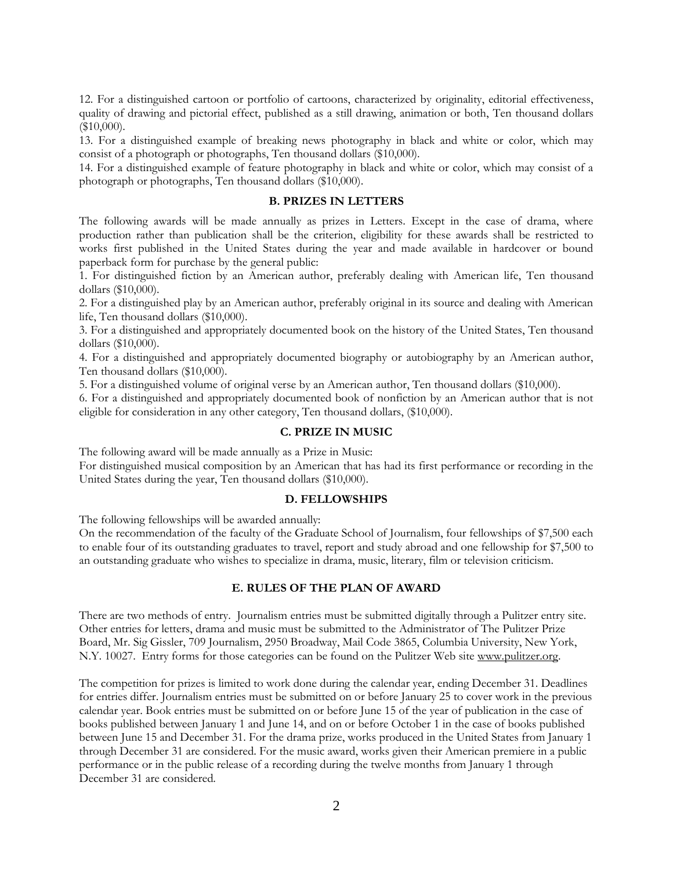12. For a distinguished cartoon or portfolio of cartoons, characterized by originality, editorial effectiveness, quality of drawing and pictorial effect, published as a still drawing, animation or both, Ten thousand dollars  $$10,000$ ).

13. For a distinguished example of breaking news photography in black and white or color, which may consist of a photograph or photographs, Ten thousand dollars (\$10,000).

14. For a distinguished example of feature photography in black and white or color, which may consist of a photograph or photographs, Ten thousand dollars (\$10,000).

#### **B. PRIZES IN LETTERS**

The following awards will be made annually as prizes in Letters. Except in the case of drama, where production rather than publication shall be the criterion, eligibility for these awards shall be restricted to works first published in the United States during the year and made available in hardcover or bound paperback form for purchase by the general public:

1. For distinguished fiction by an American author, preferably dealing with American life, Ten thousand dollars (\$10,000).

2. For a distinguished play by an American author, preferably original in its source and dealing with American life, Ten thousand dollars (\$10,000).

3. For a distinguished and appropriately documented book on the history of the United States, Ten thousand dollars (\$10,000).

4. For a distinguished and appropriately documented biography or autobiography by an American author, Ten thousand dollars (\$10,000).

5. For a distinguished volume of original verse by an American author, Ten thousand dollars (\$10,000).

6. For a distinguished and appropriately documented book of nonfiction by an American author that is not eligible for consideration in any other category, Ten thousand dollars, (\$10,000).

#### **C. PRIZE IN MUSIC**

The following award will be made annually as a Prize in Music:

For distinguished musical composition by an American that has had its first performance or recording in the United States during the year, Ten thousand dollars (\$10,000).

#### **D. FELLOWSHIPS**

The following fellowships will be awarded annually:

On the recommendation of the faculty of the Graduate School of Journalism, four fellowships of \$7,500 each to enable four of its outstanding graduates to travel, report and study abroad and one fellowship for \$7,500 to an outstanding graduate who wishes to specialize in drama, music, literary, film or television criticism.

#### **E. RULES OF THE PLAN OF AWARD**

There are two methods of entry. Journalism entries must be submitted digitally through a Pulitzer entry site. Other entries for letters, drama and music must be submitted to the Administrator of The Pulitzer Prize Board, Mr. Sig Gissler, 709 Journalism, 2950 Broadway, Mail Code 3865, Columbia University, New York, N.Y. 10027. Entry forms for those categories can be found on the Pulitzer Web site www.pulitzer.org.

The competition for prizes is limited to work done during the calendar year, ending December 31. Deadlines for entries differ. Journalism entries must be submitted on or before January 25 to cover work in the previous calendar year. Book entries must be submitted on or before June 15 of the year of publication in the case of books published between January 1 and June 14, and on or before October 1 in the case of books published between June 15 and December 31. For the drama prize, works produced in the United States from January 1 through December 31 are considered. For the music award, works given their American premiere in a public performance or in the public release of a recording during the twelve months from January 1 through December 31 are considered.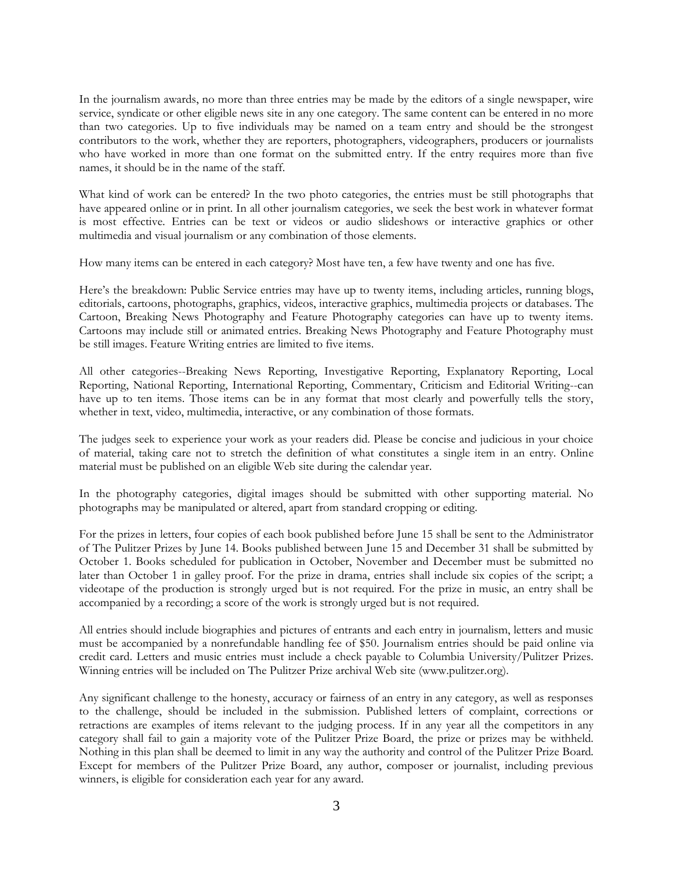In the journalism awards, no more than three entries may be made by the editors of a single newspaper, wire service, syndicate or other eligible news site in any one category. The same content can be entered in no more than two categories. Up to five individuals may be named on a team entry and should be the strongest contributors to the work, whether they are reporters, photographers, videographers, producers or journalists who have worked in more than one format on the submitted entry. If the entry requires more than five names, it should be in the name of the staff.

What kind of work can be entered? In the two photo categories, the entries must be still photographs that have appeared online or in print. In all other journalism categories, we seek the best work in whatever format is most effective. Entries can be text or videos or audio slideshows or interactive graphics or other multimedia and visual journalism or any combination of those elements.

How many items can be entered in each category? Most have ten, a few have twenty and one has five.

Here's the breakdown: Public Service entries may have up to twenty items, including articles, running blogs, editorials, cartoons, photographs, graphics, videos, interactive graphics, multimedia projects or databases. The Cartoon, Breaking News Photography and Feature Photography categories can have up to twenty items. Cartoons may include still or animated entries. Breaking News Photography and Feature Photography must be still images. Feature Writing entries are limited to five items.

All other categories--Breaking News Reporting, Investigative Reporting, Explanatory Reporting, Local Reporting, National Reporting, International Reporting, Commentary, Criticism and Editorial Writing--can have up to ten items. Those items can be in any format that most clearly and powerfully tells the story, whether in text, video, multimedia, interactive, or any combination of those formats.

The judges seek to experience your work as your readers did. Please be concise and judicious in your choice of material, taking care not to stretch the definition of what constitutes a single item in an entry. Online material must be published on an eligible Web site during the calendar year.

In the photography categories, digital images should be submitted with other supporting material. No photographs may be manipulated or altered, apart from standard cropping or editing.

For the prizes in letters, four copies of each book published before June 15 shall be sent to the Administrator of The Pulitzer Prizes by June 14. Books published between June 15 and December 31 shall be submitted by October 1. Books scheduled for publication in October, November and December must be submitted no later than October 1 in galley proof. For the prize in drama, entries shall include six copies of the script; a videotape of the production is strongly urged but is not required. For the prize in music, an entry shall be accompanied by a recording; a score of the work is strongly urged but is not required.

All entries should include biographies and pictures of entrants and each entry in journalism, letters and music must be accompanied by a nonrefundable handling fee of \$50. Journalism entries should be paid online via credit card. Letters and music entries must include a check payable to Columbia University/Pulitzer Prizes. Winning entries will be included on The Pulitzer Prize archival Web site (www.pulitzer.org).

Any significant challenge to the honesty, accuracy or fairness of an entry in any category, as well as responses to the challenge, should be included in the submission. Published letters of complaint, corrections or retractions are examples of items relevant to the judging process. If in any year all the competitors in any category shall fail to gain a majority vote of the Pulitzer Prize Board, the prize or prizes may be withheld. Nothing in this plan shall be deemed to limit in any way the authority and control of the Pulitzer Prize Board. Except for members of the Pulitzer Prize Board, any author, composer or journalist, including previous winners, is eligible for consideration each year for any award.